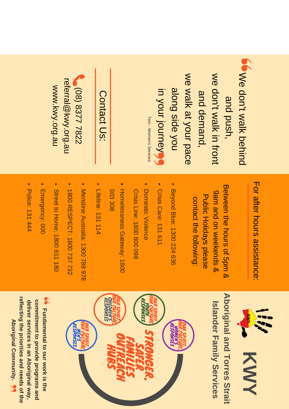# TT. q a fter  $\mathbf{\Sigma}$ o urs đ  $\boldsymbol{\omega}$ sista **n**  $\Omega$ <u>መ</u>

W  $\mathbf \Phi$  $\bf \Omega$ o l<br>T

w

<u>က</u>  $\Box$  $\bf \Omega$ ਠ ا<br>س ທ h,

w  $\mathbf \Phi$  $\mathbf{\Omega}$ o l<br>T

<u>က</u> **N**  $\bf \Omega$  $\bf \Omega$  $\mathbf \Phi$  $\Xi^ \boldsymbol{\alpha}$ **N** <u>م.</u>

w  $\mathbf \Phi$ w

alk

alo **N**  $\boldsymbol{\omega}$ 

<u>in</u>  $\prec$ o u r

jo

Terri -

Women's

Services

n<br>E

 $\mathbf \Phi$  $\leq$ 

sid<br>Di  $\mathbf \Phi$  $\prec$ o <u>ا</u>

<u>က</u>  $\prec$ o u r

ਠ <u>က</u>  $\Omega$  $\mathbf \Phi$  w

alk<br>K

<u>in</u>

f r o

n t

alk

 $\overline{\mathbf{C}}$  $\mathbf \Phi$ hin<br>hi  $\bf \Omega$ 

 $\mathbf{\overline{\omega}}$ etw e e n d  $\mathbf{\Xi}$ e ⊃ o urs <u>ር</u> ပာ ਠ  $\equiv$ & ဖ a  $\equiv$ م<br>ح  $\overline{\mathbf{o}}$ o **D** ≲<br>ଚ ወ - $\overline{\mathsf{e}}$ s.  $\bf \Omega$ ທ & ᠊ᠣ ا<br>س blic I. olid a y s  $\frac{1}{9}$ a s e c o nta  $\Xi$  $\mathbf{\Xi}$  $\sigma$ follo ≦<br>∃ g:

- **Beyond** <u>blu</u> e: 1 3 0 0 2 2 4 6 3 6
- Crisis  $\bigcirc$ are: 1 3 1 6 1 1
- **Domestic** Viole n c e Crisis E. e: 1 8 0 0 8 0 0 0 9 8
- H o m ele s s n e s s G ate way: 1 8 0 0 0 0 3 3 0 8
- Lifelin e: 1 3 1 1 1 4
- Mensline A u stralia: 1 3 0 0 7 8 9 9 7 8

( 0  $\odot$  $\infty$ ω  $\prec$  $\prec$  $\overline{\phantom{0}}$  $\infty$  $\boldsymbol{\mathsf{N}}$  $\overline{\mathsf{c}}$ 

 $\bigcap$ o

n<br>a

c t

 $\subset$ <u>ທ</u>

re f erral@

kwy.org.a

www.kwy.org.a ne buo Awy www

 $\Box$ 

- 1 8 0 0 ᄀ m.  $\omega$ ᠊ᠣ m.  $\bigcirc$ T: 1 8 0 0 7 3 7 7 3 2
- Stre ቧ ಕ H o m e: 1 8 0 0 8 1 1 1 8 0
- m.  $\equiv$ erg e n c y: 0 0 0
- ᠊ᠣ olic e: 1 3 1 4 4 4



**A b o rigin** <u>മ</u> **a n d**  $\overline{\phantom{a}}$ **o r r e s S t r ait Isla n d e r F a mily** <u>(</u> **e r vic e s**



**F u n d a m e ntal to o ur w** 요<br>도 **is th e c o m mitm e nt to pro vid e pro gra m s a n d d eliv er s ervic e s in a n A b origin al w a y, refle ctin g th e prioritie s a n d n e e d s** <u>o</u> **th e A b origin al C o m m u nity.**